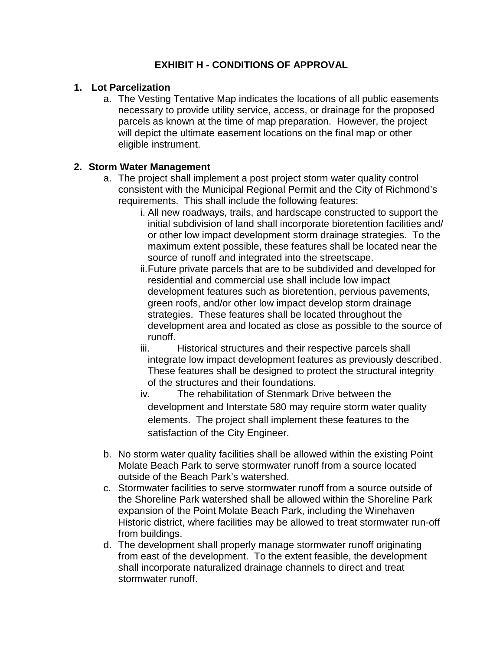# **EXHIBIT H - CONDITIONS OF APPROVAL**

### **1. Lot Parcelization**

a. The Vesting Tentative Map indicates the locations of all public easements necessary to provide utility service, access, or drainage for the proposed parcels as known at the time of map preparation. However, the project will depict the ultimate easement locations on the final map or other eligible instrument.

### **2. Storm Water Management**

- a. The project shall implement a post project storm water quality control consistent with the Municipal Regional Permit and the City of Richmond's requirements. This shall include the following features:
	- i. All new roadways, trails, and hardscape constructed to support the initial subdivision of land shall incorporate bioretention facilities and/ or other low impact development storm drainage strategies. To the maximum extent possible, these features shall be located near the source of runoff and integrated into the streetscape.
	- ii.Future private parcels that are to be subdivided and developed for residential and commercial use shall include low impact development features such as bioretention, pervious pavements, green roofs, and/or other low impact develop storm drainage strategies. These features shall be located throughout the development area and located as close as possible to the source of runoff.
	- iii. Historical structures and their respective parcels shall integrate low impact development features as previously described. These features shall be designed to protect the structural integrity of the structures and their foundations.
	- iv. The rehabilitation of Stenmark Drive between the development and Interstate 580 may require storm water quality elements. The project shall implement these features to the satisfaction of the City Engineer.
- b. No storm water quality facilities shall be allowed within the existing Point Molate Beach Park to serve stormwater runoff from a source located outside of the Beach Park's watershed.
- c. Stormwater facilities to serve stormwater runoff from a source outside of the Shoreline Park watershed shall be allowed within the Shoreline Park expansion of the Point Molate Beach Park, including the Winehaven Historic district, where facilities may be allowed to treat stormwater run-off from buildings.
- d. The development shall properly manage stormwater runoff originating from east of the development. To the extent feasible, the development shall incorporate naturalized drainage channels to direct and treat stormwater runoff.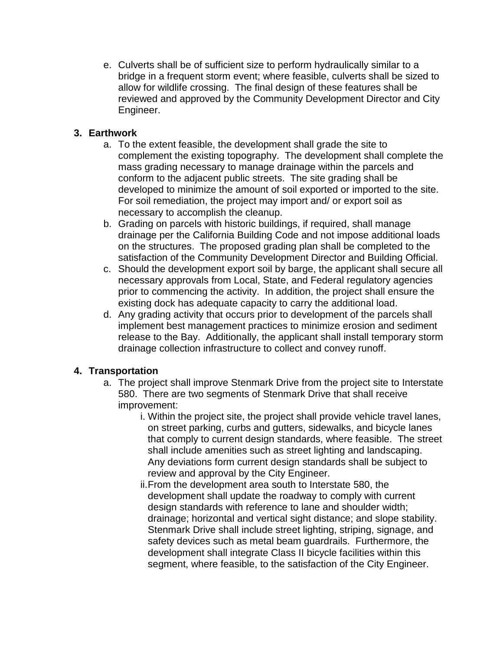e. Culverts shall be of sufficient size to perform hydraulically similar to a bridge in a frequent storm event; where feasible, culverts shall be sized to allow for wildlife crossing. The final design of these features shall be reviewed and approved by the Community Development Director and City Engineer.

# **3. Earthwork**

- a. To the extent feasible, the development shall grade the site to complement the existing topography. The development shall complete the mass grading necessary to manage drainage within the parcels and conform to the adjacent public streets. The site grading shall be developed to minimize the amount of soil exported or imported to the site. For soil remediation, the project may import and/ or export soil as necessary to accomplish the cleanup.
- b. Grading on parcels with historic buildings, if required, shall manage drainage per the California Building Code and not impose additional loads on the structures. The proposed grading plan shall be completed to the satisfaction of the Community Development Director and Building Official.
- c. Should the development export soil by barge, the applicant shall secure all necessary approvals from Local, State, and Federal regulatory agencies prior to commencing the activity. In addition, the project shall ensure the existing dock has adequate capacity to carry the additional load.
- d. Any grading activity that occurs prior to development of the parcels shall implement best management practices to minimize erosion and sediment release to the Bay. Additionally, the applicant shall install temporary storm drainage collection infrastructure to collect and convey runoff.

# **4. Transportation**

- a. The project shall improve Stenmark Drive from the project site to Interstate 580. There are two segments of Stenmark Drive that shall receive improvement:
	- i. Within the project site, the project shall provide vehicle travel lanes, on street parking, curbs and gutters, sidewalks, and bicycle lanes that comply to current design standards, where feasible. The street shall include amenities such as street lighting and landscaping. Any deviations form current design standards shall be subject to review and approval by the City Engineer.
	- ii.From the development area south to Interstate 580, the development shall update the roadway to comply with current design standards with reference to lane and shoulder width; drainage; horizontal and vertical sight distance; and slope stability. Stenmark Drive shall include street lighting, striping, signage, and safety devices such as metal beam guardrails. Furthermore, the development shall integrate Class II bicycle facilities within this segment, where feasible, to the satisfaction of the City Engineer.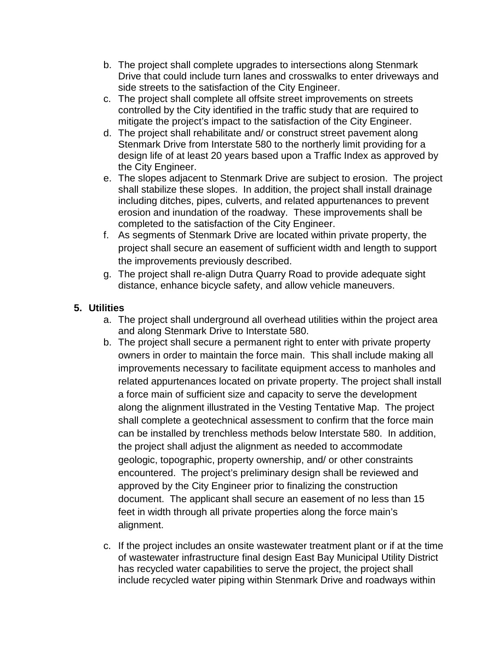- b. The project shall complete upgrades to intersections along Stenmark Drive that could include turn lanes and crosswalks to enter driveways and side streets to the satisfaction of the City Engineer.
- c. The project shall complete all offsite street improvements on streets controlled by the City identified in the traffic study that are required to mitigate the project's impact to the satisfaction of the City Engineer.
- d. The project shall rehabilitate and/ or construct street pavement along Stenmark Drive from Interstate 580 to the northerly limit providing for a design life of at least 20 years based upon a Traffic Index as approved by the City Engineer.
- e. The slopes adjacent to Stenmark Drive are subject to erosion. The project shall stabilize these slopes. In addition, the project shall install drainage including ditches, pipes, culverts, and related appurtenances to prevent erosion and inundation of the roadway. These improvements shall be completed to the satisfaction of the City Engineer.
- f. As segments of Stenmark Drive are located within private property, the project shall secure an easement of sufficient width and length to support the improvements previously described.
- g. The project shall re-align Dutra Quarry Road to provide adequate sight distance, enhance bicycle safety, and allow vehicle maneuvers.

# **5. Utilities**

- a. The project shall underground all overhead utilities within the project area and along Stenmark Drive to Interstate 580.
- b. The project shall secure a permanent right to enter with private property owners in order to maintain the force main. This shall include making all improvements necessary to facilitate equipment access to manholes and related appurtenances located on private property. The project shall install a force main of sufficient size and capacity to serve the development along the alignment illustrated in the Vesting Tentative Map. The project shall complete a geotechnical assessment to confirm that the force main can be installed by trenchless methods below Interstate 580. In addition, the project shall adjust the alignment as needed to accommodate geologic, topographic, property ownership, and/ or other constraints encountered. The project's preliminary design shall be reviewed and approved by the City Engineer prior to finalizing the construction document. The applicant shall secure an easement of no less than 15 feet in width through all private properties along the force main's alignment.
- c. If the project includes an onsite wastewater treatment plant or if at the time of wastewater infrastructure final design East Bay Municipal Utility District has recycled water capabilities to serve the project, the project shall include recycled water piping within Stenmark Drive and roadways within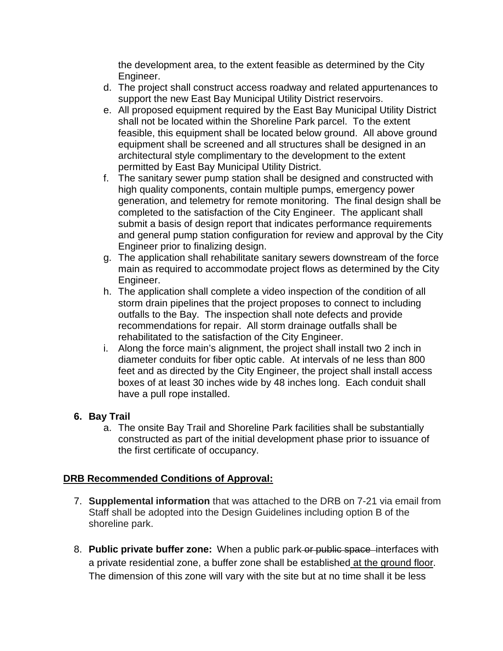the development area, to the extent feasible as determined by the City Engineer.

- d. The project shall construct access roadway and related appurtenances to support the new East Bay Municipal Utility District reservoirs.
- e. All proposed equipment required by the East Bay Municipal Utility District shall not be located within the Shoreline Park parcel. To the extent feasible, this equipment shall be located below ground. All above ground equipment shall be screened and all structures shall be designed in an architectural style complimentary to the development to the extent permitted by East Bay Municipal Utility District.
- f. The sanitary sewer pump station shall be designed and constructed with high quality components, contain multiple pumps, emergency power generation, and telemetry for remote monitoring. The final design shall be completed to the satisfaction of the City Engineer. The applicant shall submit a basis of design report that indicates performance requirements and general pump station configuration for review and approval by the City Engineer prior to finalizing design.
- g. The application shall rehabilitate sanitary sewers downstream of the force main as required to accommodate project flows as determined by the City Engineer.
- h. The application shall complete a video inspection of the condition of all storm drain pipelines that the project proposes to connect to including outfalls to the Bay. The inspection shall note defects and provide recommendations for repair. All storm drainage outfalls shall be rehabilitated to the satisfaction of the City Engineer.
- i. Along the force main's alignment, the project shall install two 2 inch in diameter conduits for fiber optic cable. At intervals of ne less than 800 feet and as directed by the City Engineer, the project shall install access boxes of at least 30 inches wide by 48 inches long. Each conduit shall have a pull rope installed.

# **6. Bay Trail**

a. The onsite Bay Trail and Shoreline Park facilities shall be substantially constructed as part of the initial development phase prior to issuance of the first certificate of occupancy.

# **DRB Recommended Conditions of Approval:**

- 7. **Supplemental information** that was attached to the DRB on 7-21 via email from Staff shall be adopted into the Design Guidelines including option B of the shoreline park.
- 8. **Public private buffer zone:** When a public park or public space interfaces with a private residential zone, a buffer zone shall be established at the ground floor. The dimension of this zone will vary with the site but at no time shall it be less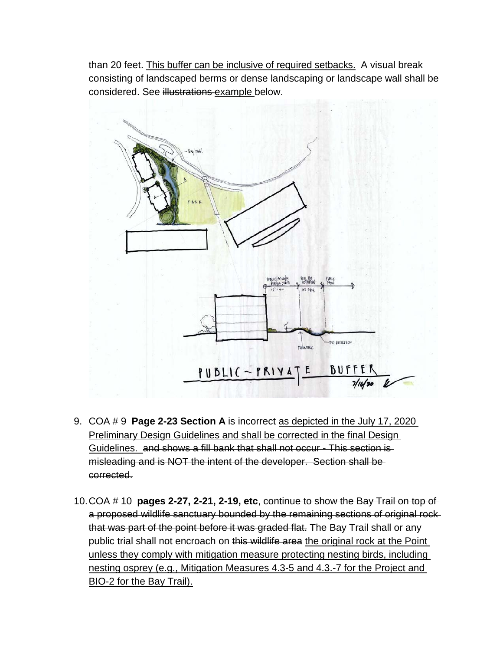than 20 feet. This buffer can be inclusive of required setbacks. A visual break consisting of landscaped berms or dense landscaping or landscape wall shall be considered. See illustrations example below.



- 9. COA # 9 **Page 2-23 Section A** is incorrect as depicted in the July 17, 2020 Preliminary Design Guidelines and shall be corrected in the final Design Guidelines. and shows a fill bank that shall not occur - This section is misleading and is NOT the intent of the developer. Section shall be corrected.
- 10.COA # 10 **pages 2-27, 2-21, 2-19, etc**, continue to show the Bay Trail on top of a proposed wildlife sanctuary bounded by the remaining sections of original rock that was part of the point before it was graded flat. The Bay Trail shall or any public trial shall not encroach on this wildlife area the original rock at the Point unless they comply with mitigation measure protecting nesting birds, including nesting osprey (e.g., Mitigation Measures 4.3-5 and 4.3.-7 for the Project and BIO-2 for the Bay Trail).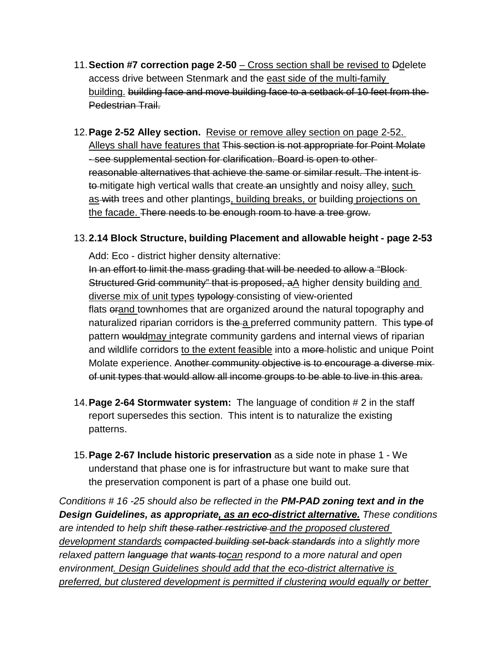- 11.**Section #7 correction page 2-50**  Cross section shall be revised to Ddelete access drive between Stenmark and the east side of the multi-family building. building face and move building face to a setback of 10 feet from the Pedestrian Trail.
- 12.**Page 2-52 Alley section.** Revise or remove alley section on page 2-52. Alleys shall have features that This section is not appropriate for Point Molate - see supplemental section for clarification. Board is open to other reasonable alternatives that achieve the same or similar result. The intent is to mitigate high vertical walls that create an unsightly and noisy alley, such as with trees and other plantings, building breaks, or building projections on the facade. There needs to be enough room to have a tree grow.

# 13.**2.14 Block Structure, building Placement and allowable height - page 2-53**

Add: Eco - district higher density alternative:

In an effort to limit the mass grading that will be needed to allow a "Block Structured Grid community" that is proposed, aA higher density building and diverse mix of unit types typology consisting of view-oriented flats orand townhomes that are organized around the natural topography and naturalized riparian corridors is the a preferred community pattern. This type of pattern would may integrate community gardens and internal views of riparian and wildlife corridors to the extent feasible into a more-holistic and unique Point Molate experience. Another community objective is to encourage a diverse mixof unit types that would allow all income groups to be able to live in this area.

- 14.**Page 2-64 Stormwater system:** The language of condition # 2 in the staff report supersedes this section. This intent is to naturalize the existing patterns.
- 15.**Page 2-67 Include historic preservation** as a side note in phase 1 We understand that phase one is for infrastructure but want to make sure that the preservation component is part of a phase one build out.

*Conditions # 16 -25 should also be reflected in the PM-PAD zoning text and in the Design Guidelines, as appropriate, as an eco-district alternative. These conditions are intended to help shift these rather restrictive and the proposed clustered development standards compacted building set-back standards into a slightly more relaxed pattern language that wants tocan respond to a more natural and open environment. Design Guidelines should add that the eco-district alternative is preferred, but clustered development is permitted if clustering would equally or better*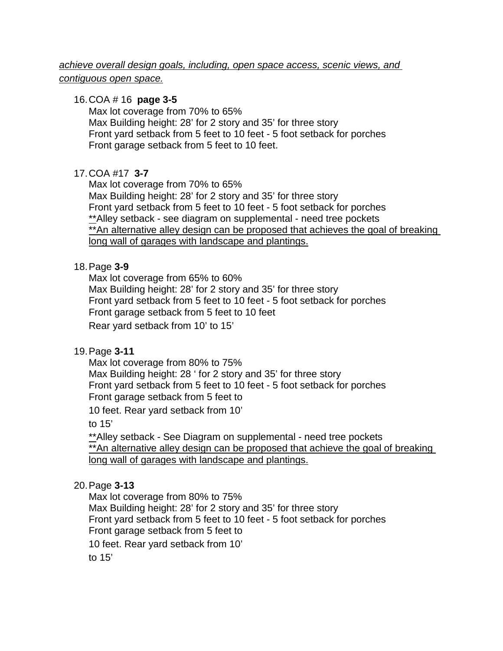# *achieve overall design goals, including, open space access, scenic views, and contiguous open space.*

#### 16.COA # 16 **page 3-5**

Max lot coverage from 70% to 65% Max Building height: 28' for 2 story and 35' for three story Front yard setback from 5 feet to 10 feet - 5 foot setback for porches Front garage setback from 5 feet to 10 feet.

### 17.COA #17 **3-7**

Max lot coverage from 70% to 65% Max Building height: 28' for 2 story and 35' for three story Front yard setback from 5 feet to 10 feet - 5 foot setback for porches \*\*Alley setback - see diagram on supplemental - need tree pockets \*\*An alternative alley design can be proposed that achieves the goal of breaking long wall of garages with landscape and plantings.

### 18.Page **3-9**

Max lot coverage from 65% to 60% Max Building height: 28' for 2 story and 35' for three story Front yard setback from 5 feet to 10 feet - 5 foot setback for porches Front garage setback from 5 feet to 10 feet Rear yard setback from 10' to 15'

# 19.Page **3-11**

Max lot coverage from 80% to 75% Max Building height: 28 ' for 2 story and 35' for three story Front yard setback from 5 feet to 10 feet - 5 foot setback for porches Front garage setback from 5 feet to

10 feet. Rear yard setback from 10'

to 15'

\*\*Alley setback - See Diagram on supplemental - need tree pockets \*\*An alternative alley design can be proposed that achieve the goal of breaking long wall of garages with landscape and plantings.

# 20.Page **3-13**

Max lot coverage from 80% to 75% Max Building height: 28' for 2 story and 35' for three story Front yard setback from 5 feet to 10 feet - 5 foot setback for porches Front garage setback from 5 feet to 10 feet. Rear yard setback from 10' to 15'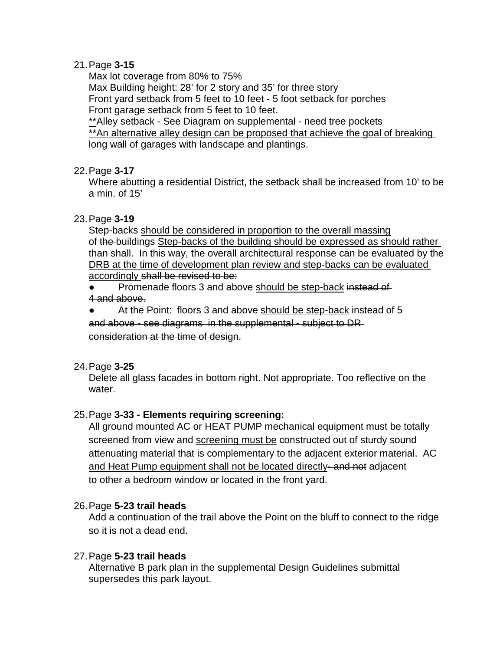## 21.Page **3-15**

Max lot coverage from 80% to 75% Max Building height: 28' for 2 story and 35' for three story Front yard setback from 5 feet to 10 feet - 5 foot setback for porches Front garage setback from 5 feet to 10 feet. \*\*Alley setback - See Diagram on supplemental - need tree pockets  $\frac{1}{x}$  An alternative alley design can be proposed that achieve the goal of breaking long wall of garages with landscape and plantings.

#### 22.Page **3-17**

Where abutting a residential District, the setback shall be increased from 10' to be a min. of 15'

# 23.Page **3-19**

Step-backs should be considered in proportion to the overall massing of the buildings Step-backs of the building should be expressed as should rather than shall. In this way, the overall architectural response can be evaluated by the DRB at the time of development plan review and step-backs can be evaluated accordingly shall be revised to be:

Promenade floors 3 and above should be step-back instead of 4 and above.

At the Point: floors 3 and above should be step-back instead of 5

and above - see diagrams in the supplemental - subject to DR consideration at the time of design.

# 24.Page **3-25**

Delete all glass facades in bottom right. Not appropriate. Too reflective on the water.

# 25.Page **3-33 - Elements requiring screening:**

All ground mounted AC or HEAT PUMP mechanical equipment must be totally screened from view and screening must be constructed out of sturdy sound attenuating material that is complementary to the adjacent exterior material. AC and Heat Pump equipment shall not be located directly-and not adjacent to other a bedroom window or located in the front yard.

# 26.Page **5-23 trail heads**

Add a continuation of the trail above the Point on the bluff to connect to the ridge so it is not a dead end.

# 27.Page **5-23 trail heads**

Alternative B park plan in the supplemental Design Guidelines submittal supersedes this park layout.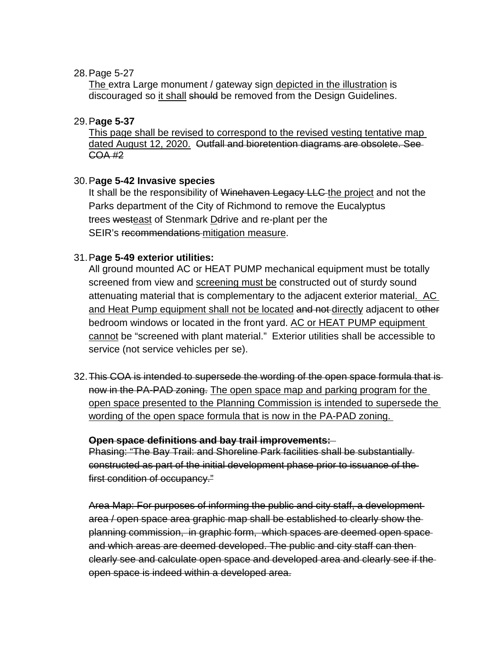#### 28.Page 5-27

The extra Large monument / gateway sign depicted in the illustration is discouraged so it shall should be removed from the Design Guidelines.

# 29.P**age 5-37**

This page shall be revised to correspond to the revised vesting tentative map dated August 12, 2020. Outfall and bioretention diagrams are obsolete. See-COA #2

### 30.P**age 5-42 Invasive species**

It shall be the responsibility of Winehaven Legacy LLC the project and not the Parks department of the City of Richmond to remove the Eucalyptus trees westeast of Stenmark Derive and re-plant per the SEIR's recommendations mitigation measure.

### 31.P**age 5-49 exterior utilities:**

All ground mounted AC or HEAT PUMP mechanical equipment must be totally screened from view and screening must be constructed out of sturdy sound attenuating material that is complementary to the adjacent exterior material. AC and Heat Pump equipment shall not be located and not directly adjacent to other bedroom windows or located in the front yard. AC or HEAT PUMP equipment cannot be "screened with plant material." Exterior utilities shall be accessible to service (not service vehicles per se).

32.This COA is intended to supersede the wording of the open space formula that is now in the PA-PAD zoning. The open space map and parking program for the open space presented to the Planning Commission is intended to supersede the wording of the open space formula that is now in the PA-PAD zoning.

#### **Open space definitions and bay trail improvements:**

Phasing: "The Bay Trail: and Shoreline Park facilities shall be substantially constructed as part of the initial development phase prior to issuance of the first condition of occupancy."

Area Map: For purposes of informing the public and city staff, a development area / open space area graphic map shall be established to clearly show the planning commission, in graphic form, which spaces are deemed open space and which areas are deemed developed. The public and city staff can then clearly see and calculate open space and developed area and clearly see if the open space is indeed within a developed area.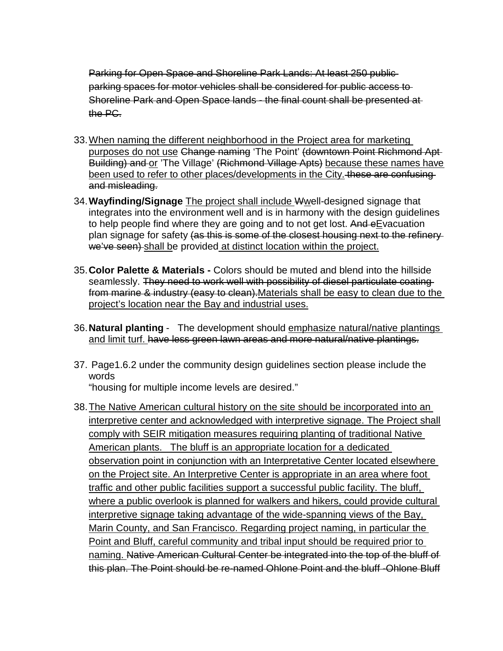Parking for Open Space and Shoreline Park Lands: At least 250 publicparking spaces for motor vehicles shall be considered for public access to Shoreline Park and Open Space lands - the final count shall be presented at the PC.

- 33.When naming the different neighborhood in the Project area for marketing purposes do not use Change naming 'The Point' (downtown Point Richmond Apt-Building) and or 'The Village' (Richmond Village Apts) because these names have been used to refer to other places/developments in the City. these are confusing and misleading.
- 34.**Wayfinding/Signage** The project shall include Wwell-designed signage that integrates into the environment well and is in harmony with the design guidelines to help people find where they are going and to not get lost. And eEvacuation plan signage for safety (as this is some of the closest housing next to the refinery we've seen) shall be provided at distinct location within the project.
- 35.**Color Palette & Materials -** Colors should be muted and blend into the hillside seamlessly. They need to work well with possibility of diesel particulate coating from marine & industry (easy to clean). Materials shall be easy to clean due to the project's location near the Bay and industrial uses.
- 36.**Natural planting** The development should emphasize natural/native plantings and limit turf. have less green lawn areas and more natural/native plantings.
- 37. Page1.6.2 under the community design guidelines section please include the words
	- "housing for multiple income levels are desired."
- 38.The Native American cultural history on the site should be incorporated into an interpretive center and acknowledged with interpretive signage. The Project shall comply with SEIR mitigation measures requiring planting of traditional Native American plants. The bluff is an appropriate location for a dedicated observation point in conjunction with an Interpretative Center located elsewhere on the Project site. An Interpretive Center is appropriate in an area where foot traffic and other public facilities support a successful public facility. The bluff, where a public overlook is planned for walkers and hikers, could provide cultural interpretive signage taking advantage of the wide-spanning views of the Bay, Marin County, and San Francisco. Regarding project naming, in particular the Point and Bluff, careful community and tribal input should be required prior to naming. Native American Cultural Center be integrated into the top of the bluff of this plan. The Point should be re-named Ohlone Point and the bluff -Ohlone Bluff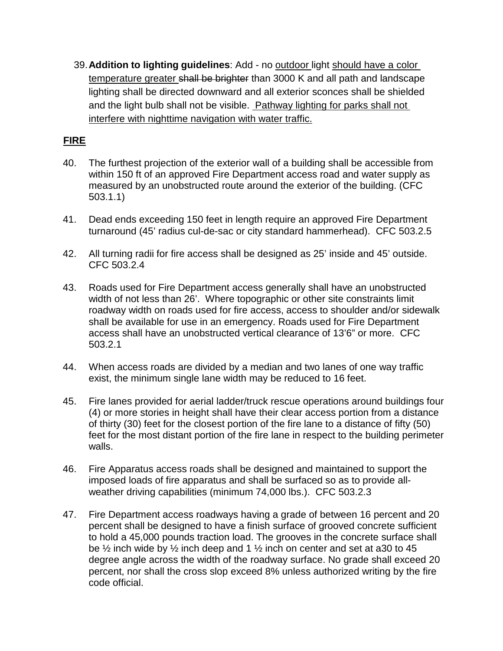39.**Addition to lighting guidelines**: Add - no outdoor light should have a color temperature greater shall be brighter than 3000 K and all path and landscape lighting shall be directed downward and all exterior sconces shall be shielded and the light bulb shall not be visible. Pathway lighting for parks shall not interfere with nighttime navigation with water traffic.

# **FIRE**

- 40. The furthest projection of the exterior wall of a building shall be accessible from within 150 ft of an approved Fire Department access road and water supply as measured by an unobstructed route around the exterior of the building. (CFC 503.1.1)
- 41. Dead ends exceeding 150 feet in length require an approved Fire Department turnaround (45' radius cul-de-sac or city standard hammerhead). CFC 503.2.5
- 42. All turning radii for fire access shall be designed as 25' inside and 45' outside. CFC 503.2.4
- 43. Roads used for Fire Department access generally shall have an unobstructed width of not less than 26'. Where topographic or other site constraints limit roadway width on roads used for fire access, access to shoulder and/or sidewalk shall be available for use in an emergency. Roads used for Fire Department access shall have an unobstructed vertical clearance of 13'6" or more. CFC 503.2.1
- 44. When access roads are divided by a median and two lanes of one way traffic exist, the minimum single lane width may be reduced to 16 feet.
- 45. Fire lanes provided for aerial ladder/truck rescue operations around buildings four (4) or more stories in height shall have their clear access portion from a distance of thirty (30) feet for the closest portion of the fire lane to a distance of fifty (50) feet for the most distant portion of the fire lane in respect to the building perimeter walls.
- 46. Fire Apparatus access roads shall be designed and maintained to support the imposed loads of fire apparatus and shall be surfaced so as to provide allweather driving capabilities (minimum 74,000 lbs.). CFC 503.2.3
- 47. Fire Department access roadways having a grade of between 16 percent and 20 percent shall be designed to have a finish surface of grooved concrete sufficient to hold a 45,000 pounds traction load. The grooves in the concrete surface shall be  $\frac{1}{2}$  inch wide by  $\frac{1}{2}$  inch deep and 1  $\frac{1}{2}$  inch on center and set at a30 to 45 degree angle across the width of the roadway surface. No grade shall exceed 20 percent, nor shall the cross slop exceed 8% unless authorized writing by the fire code official.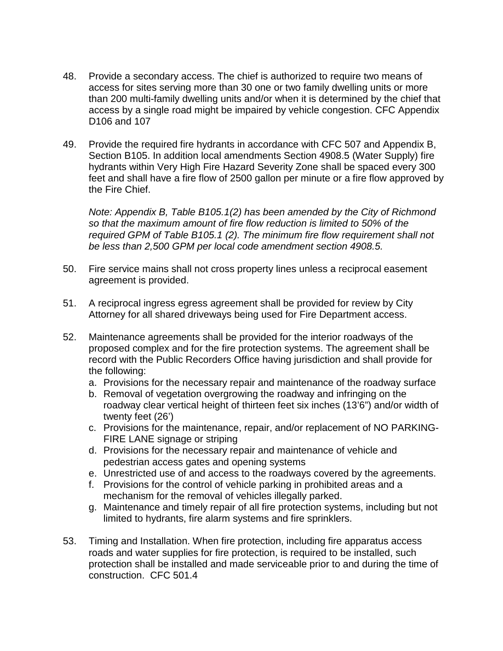- 48. Provide a secondary access. The chief is authorized to require two means of access for sites serving more than 30 one or two family dwelling units or more than 200 multi-family dwelling units and/or when it is determined by the chief that access by a single road might be impaired by vehicle congestion. CFC Appendix D106 and 107
- 49. Provide the required fire hydrants in accordance with CFC 507 and Appendix B, Section B105. In addition local amendments Section 4908.5 (Water Supply) fire hydrants within Very High Fire Hazard Severity Zone shall be spaced every 300 feet and shall have a fire flow of 2500 gallon per minute or a fire flow approved by the Fire Chief.

*Note: Appendix B, Table B105.1(2) has been amended by the City of Richmond so that the maximum amount of fire flow reduction is limited to 50% of the required GPM of Table B105.1 (2). The minimum fire flow requirement shall not be less than 2,500 GPM per local code amendment section 4908.5.*

- 50. Fire service mains shall not cross property lines unless a reciprocal easement agreement is provided.
- 51. A reciprocal ingress egress agreement shall be provided for review by City Attorney for all shared driveways being used for Fire Department access.
- 52. Maintenance agreements shall be provided for the interior roadways of the proposed complex and for the fire protection systems. The agreement shall be record with the Public Recorders Office having jurisdiction and shall provide for the following:
	- a. Provisions for the necessary repair and maintenance of the roadway surface
	- b. Removal of vegetation overgrowing the roadway and infringing on the roadway clear vertical height of thirteen feet six inches (13'6") and/or width of twenty feet (26')
	- c. Provisions for the maintenance, repair, and/or replacement of NO PARKING-FIRE LANE signage or striping
	- d. Provisions for the necessary repair and maintenance of vehicle and pedestrian access gates and opening systems
	- e. Unrestricted use of and access to the roadways covered by the agreements.
	- f. Provisions for the control of vehicle parking in prohibited areas and a mechanism for the removal of vehicles illegally parked.
	- g. Maintenance and timely repair of all fire protection systems, including but not limited to hydrants, fire alarm systems and fire sprinklers.
- 53. Timing and Installation. When fire protection, including fire apparatus access roads and water supplies for fire protection, is required to be installed, such protection shall be installed and made serviceable prior to and during the time of construction. CFC 501.4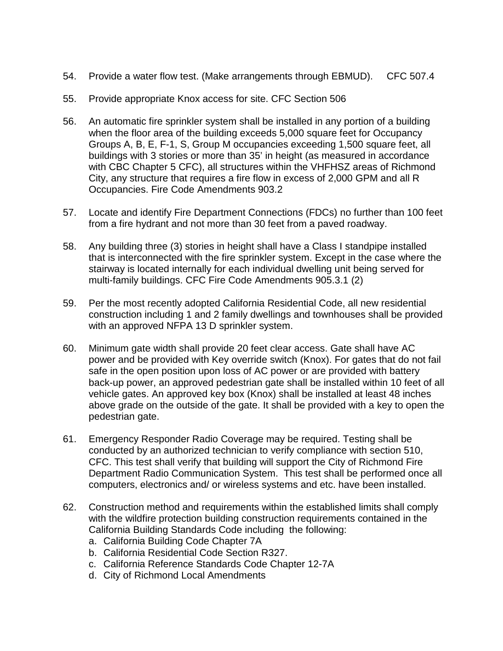- 54. Provide a water flow test. (Make arrangements through EBMUD). CFC 507.4
- 55. Provide appropriate Knox access for site. CFC Section 506
- 56. An automatic fire sprinkler system shall be installed in any portion of a building when the floor area of the building exceeds 5,000 square feet for Occupancy Groups A, B, E, F-1, S, Group M occupancies exceeding 1,500 square feet, all buildings with 3 stories or more than 35' in height (as measured in accordance with CBC Chapter 5 CFC), all structures within the VHFHSZ areas of Richmond City, any structure that requires a fire flow in excess of 2,000 GPM and all R Occupancies. Fire Code Amendments 903.2
- 57. Locate and identify Fire Department Connections (FDCs) no further than 100 feet from a fire hydrant and not more than 30 feet from a paved roadway.
- 58. Any building three (3) stories in height shall have a Class I standpipe installed that is interconnected with the fire sprinkler system. Except in the case where the stairway is located internally for each individual dwelling unit being served for multi-family buildings. CFC Fire Code Amendments 905.3.1 (2)
- 59. Per the most recently adopted California Residential Code, all new residential construction including 1 and 2 family dwellings and townhouses shall be provided with an approved NFPA 13 D sprinkler system.
- 60. Minimum gate width shall provide 20 feet clear access. Gate shall have AC power and be provided with Key override switch (Knox). For gates that do not fail safe in the open position upon loss of AC power or are provided with battery back-up power, an approved pedestrian gate shall be installed within 10 feet of all vehicle gates. An approved key box (Knox) shall be installed at least 48 inches above grade on the outside of the gate. It shall be provided with a key to open the pedestrian gate.
- 61. Emergency Responder Radio Coverage may be required. Testing shall be conducted by an authorized technician to verify compliance with section 510, CFC. This test shall verify that building will support the City of Richmond Fire Department Radio Communication System. This test shall be performed once all computers, electronics and/ or wireless systems and etc. have been installed.
- 62. Construction method and requirements within the established limits shall comply with the wildfire protection building construction requirements contained in the California Building Standards Code including the following:
	- a. California Building Code Chapter 7A
	- b. California Residential Code Section R327.
	- c. California Reference Standards Code Chapter 12-7A
	- d. City of Richmond Local Amendments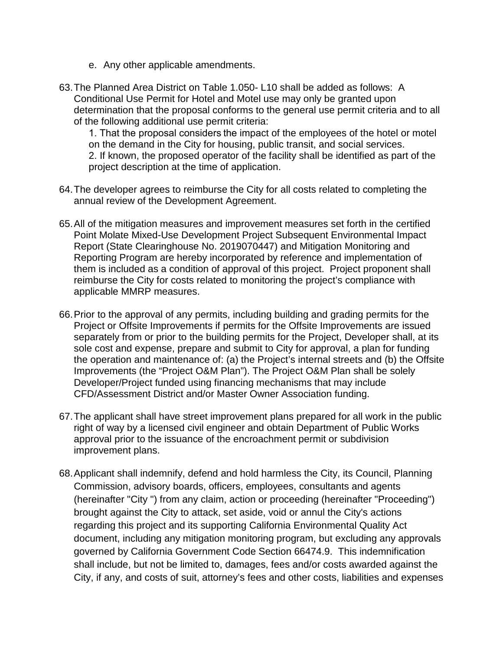- e. Any other applicable amendments.
- 63.The Planned Area District on Table 1.050- L10 shall be added as follows: A Conditional Use Permit for Hotel and Motel use may only be granted upon determination that the proposal conforms to the general use permit criteria and to all of the following additional use permit criteria:

1. That the proposal considers the impact of the employees of the hotel or motel on the demand in the City for housing, public transit, and social services. 2. If known, the proposed operator of the facility shall be identified as part of the project description at the time of application.

- 64.The developer agrees to reimburse the City for all costs related to completing the annual review of the Development Agreement.
- 65.All of the mitigation measures and improvement measures set forth in the certified Point Molate Mixed-Use Development Project Subsequent Environmental Impact Report (State Clearinghouse No. 2019070447) and Mitigation Monitoring and Reporting Program are hereby incorporated by reference and implementation of them is included as a condition of approval of this project. Project proponent shall reimburse the City for costs related to monitoring the project's compliance with applicable MMRP measures.
- 66.Prior to the approval of any permits, including building and grading permits for the Project or Offsite Improvements if permits for the Offsite Improvements are issued separately from or prior to the building permits for the Project, Developer shall, at its sole cost and expense, prepare and submit to City for approval, a plan for funding the operation and maintenance of: (a) the Project's internal streets and (b) the Offsite Improvements (the "Project O&M Plan"). The Project O&M Plan shall be solely Developer/Project funded using financing mechanisms that may include CFD/Assessment District and/or Master Owner Association funding.
- 67.The applicant shall have street improvement plans prepared for all work in the public right of way by a licensed civil engineer and obtain Department of Public Works approval prior to the issuance of the encroachment permit or subdivision improvement plans.
- 68.Applicant shall indemnify, defend and hold harmless the City, its Council, Planning Commission, advisory boards, officers, employees, consultants and agents (hereinafter "City ") from any claim, action or proceeding (hereinafter "Proceeding") brought against the City to attack, set aside, void or annul the City's actions regarding this project and its supporting California Environmental Quality Act document, including any mitigation monitoring program, but excluding any approvals governed by California Government Code Section 66474.9. This indemnification shall include, but not be limited to, damages, fees and/or costs awarded against the City, if any, and costs of suit, attorney's fees and other costs, liabilities and expenses